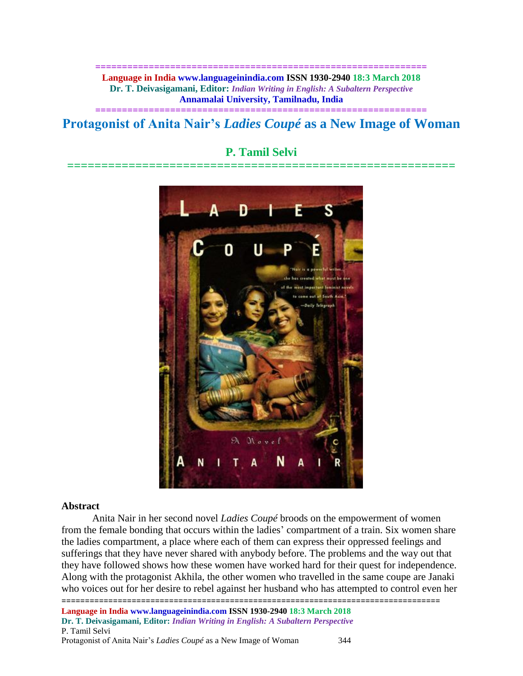**============================================================== Language in India www.languageinindia.com ISSN 1930-2940 18:3 March 2018 Dr. T. Deivasigamani, Editor:** *Indian Writing in English: A Subaltern Perspective* **Annamalai University, Tamilnadu, India**

# **============================================================== Protagonist of Anita Nair's** *Ladies Coupé* **as a New Image of Woman**

# **P. Tamil Selvi**

**=========================================================**



#### **Abstract**

================================================================================= Anita Nair in her second novel *Ladies Coupé* broods on the empowerment of women from the female bonding that occurs within the ladies' compartment of a train. Six women share the ladies compartment, a place where each of them can express their oppressed feelings and sufferings that they have never shared with anybody before. The problems and the way out that they have followed shows how these women have worked hard for their quest for independence. Along with the protagonist Akhila, the other women who travelled in the same coupe are Janaki who voices out for her desire to rebel against her husband who has attempted to control even her

**Language in India www.languageinindia.com ISSN 1930-2940 18:3 March 2018 Dr. T. Deivasigamani, Editor:** *Indian Writing in English: A Subaltern Perspective* P. Tamil Selvi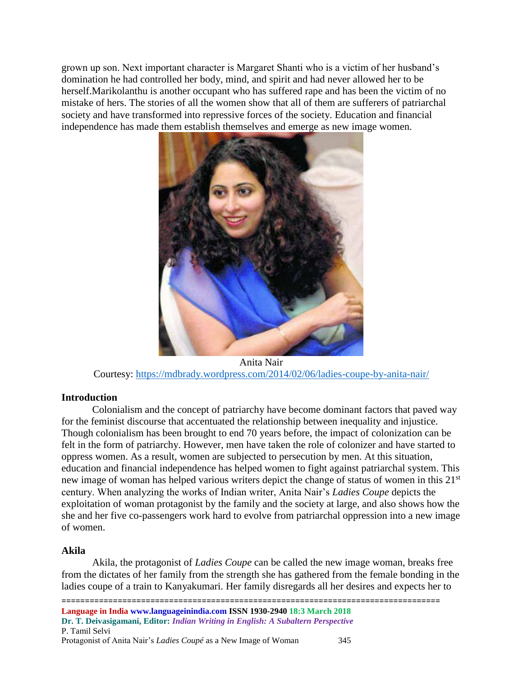grown up son. Next important character is Margaret Shanti who is a victim of her husband's domination he had controlled her body, mind, and spirit and had never allowed her to be herself.Marikolanthu is another occupant who has suffered rape and has been the victim of no mistake of hers. The stories of all the women show that all of them are sufferers of patriarchal society and have transformed into repressive forces of the society. Education and financial independence has made them establish themselves and emerge as new image women.



Anita Nair Courtesy:<https://mdbrady.wordpress.com/2014/02/06/ladies-coupe-by-anita-nair/>

### **Introduction**

Colonialism and the concept of patriarchy have become dominant factors that paved way for the feminist discourse that accentuated the relationship between inequality and injustice. Though colonialism has been brought to end 70 years before, the impact of colonization can be felt in the form of patriarchy. However, men have taken the role of colonizer and have started to oppress women. As a result, women are subjected to persecution by men. At this situation, education and financial independence has helped women to fight against patriarchal system. This new image of woman has helped various writers depict the change of status of women in this 21st century. When analyzing the works of Indian writer, Anita Nair's *Ladies Coupe* depicts the exploitation of woman protagonist by the family and the society at large, and also shows how the she and her five co-passengers work hard to evolve from patriarchal oppression into a new image of women.

## **Akila**

Akila, the protagonist of *Ladies Coupe* can be called the new image woman, breaks free from the dictates of her family from the strength she has gathered from the female bonding in the ladies coupe of a train to Kanyakumari. Her family disregards all her desires and expects her to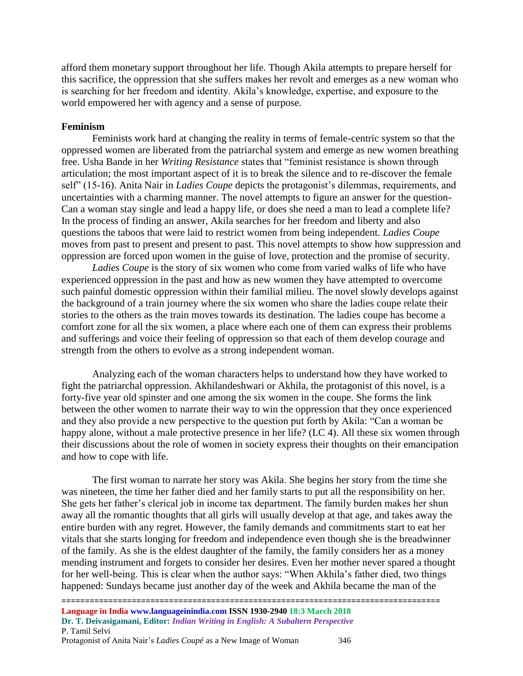afford them monetary support throughout her life. Though Akila attempts to prepare herself for this sacrifice, the oppression that she suffers makes her revolt and emerges as a new woman who is searching for her freedom and identity. Akila's knowledge, expertise, and exposure to the world empowered her with agency and a sense of purpose.

#### **Feminism**

Feminists work hard at changing the reality in terms of female-centric system so that the oppressed women are liberated from the patriarchal system and emerge as new women breathing free. Usha Bande in her *Writing Resistance* states that "feminist resistance is shown through articulation; the most important aspect of it is to break the silence and to re-discover the female self" (15-16). Anita Nair in *Ladies Coupe* depicts the protagonist's dilemmas, requirements, and uncertainties with a charming manner. The novel attempts to figure an answer for the question-Can a woman stay single and lead a happy life, or does she need a man to lead a complete life? In the process of finding an answer, Akila searches for her freedom and liberty and also questions the taboos that were laid to restrict women from being independent. *Ladies Coupe* moves from past to present and present to past. This novel attempts to show how suppression and oppression are forced upon women in the guise of love, protection and the promise of security.

*Ladies Coupe* is the story of six women who come from varied walks of life who have experienced oppression in the past and how as new women they have attempted to overcome such painful domestic oppression within their familial milieu. The novel slowly develops against the background of a train journey where the six women who share the ladies coupe relate their stories to the others as the train moves towards its destination. The ladies coupe has become a comfort zone for all the six women, a place where each one of them can express their problems and sufferings and voice their feeling of oppression so that each of them develop courage and strength from the others to evolve as a strong independent woman.

Analyzing each of the woman characters helps to understand how they have worked to fight the patriarchal oppression. Akhilandeshwari or Akhila, the protagonist of this novel, is a forty-five year old spinster and one among the six women in the coupe. She forms the link between the other women to narrate their way to win the oppression that they once experienced and they also provide a new perspective to the question put forth by Akila: "Can a woman be happy alone, without a male protective presence in her life? (LC 4). All these six women through their discussions about the role of women in society express their thoughts on their emancipation and how to cope with life.

The first woman to narrate her story was Akila. She begins her story from the time she was nineteen, the time her father died and her family starts to put all the responsibility on her. She gets her father's clerical job in income tax department. The family burden makes her shun away all the romantic thoughts that all girls will usually develop at that age, and takes away the entire burden with any regret. However, the family demands and commitments start to eat her vitals that she starts longing for freedom and independence even though she is the breadwinner of the family. As she is the eldest daughter of the family, the family considers her as a money mending instrument and forgets to consider her desires. Even her mother never spared a thought for her well-being. This is clear when the author says: "When Akhila's father died, two things happened: Sundays became just another day of the week and Akhila became the man of the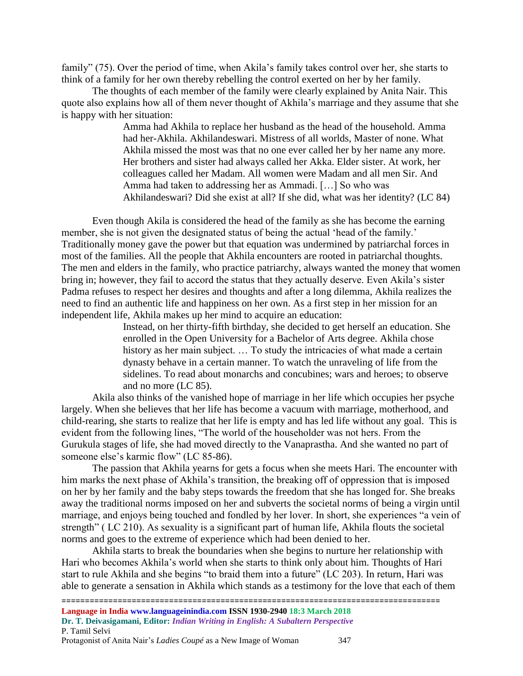family" (75). Over the period of time, when Akila's family takes control over her, she starts to think of a family for her own thereby rebelling the control exerted on her by her family.

The thoughts of each member of the family were clearly explained by Anita Nair. This quote also explains how all of them never thought of Akhila's marriage and they assume that she is happy with her situation:

> Amma had Akhila to replace her husband as the head of the household. Amma had her-Akhila. Akhilandeswari. Mistress of all worlds, Master of none. What Akhila missed the most was that no one ever called her by her name any more. Her brothers and sister had always called her Akka. Elder sister. At work, her colleagues called her Madam. All women were Madam and all men Sir. And Amma had taken to addressing her as Ammadi. […] So who was Akhilandeswari? Did she exist at all? If she did, what was her identity? (LC 84)

Even though Akila is considered the head of the family as she has become the earning member, she is not given the designated status of being the actual 'head of the family.' Traditionally money gave the power but that equation was undermined by patriarchal forces in most of the families. All the people that Akhila encounters are rooted in patriarchal thoughts. The men and elders in the family, who practice patriarchy, always wanted the money that women bring in; however, they fail to accord the status that they actually deserve. Even Akila's sister Padma refuses to respect her desires and thoughts and after a long dilemma, Akhila realizes the need to find an authentic life and happiness on her own. As a first step in her mission for an independent life, Akhila makes up her mind to acquire an education:

> Instead, on her thirty-fifth birthday, she decided to get herself an education. She enrolled in the Open University for a Bachelor of Arts degree. Akhila chose history as her main subject. ... To study the intricacies of what made a certain dynasty behave in a certain manner. To watch the unraveling of life from the sidelines. To read about monarchs and concubines; wars and heroes; to observe and no more (LC 85).

Akila also thinks of the vanished hope of marriage in her life which occupies her psyche largely. When she believes that her life has become a vacuum with marriage, motherhood, and child-rearing, she starts to realize that her life is empty and has led life without any goal. This is evident from the following lines, "The world of the householder was not hers. From the Gurukula stages of life, she had moved directly to the Vanaprastha. And she wanted no part of someone else's karmic flow" (LC 85-86).

The passion that Akhila yearns for gets a focus when she meets Hari. The encounter with him marks the next phase of Akhila's transition, the breaking off of oppression that is imposed on her by her family and the baby steps towards the freedom that she has longed for. She breaks away the traditional norms imposed on her and subverts the societal norms of being a virgin until marriage, and enjoys being touched and fondled by her lover. In short, she experiences "a vein of strength" ( LC 210). As sexuality is a significant part of human life, Akhila flouts the societal norms and goes to the extreme of experience which had been denied to her.

Akhila starts to break the boundaries when she begins to nurture her relationship with Hari who becomes Akhila's world when she starts to think only about him. Thoughts of Hari start to rule Akhila and she begins "to braid them into a future" (LC 203). In return, Hari was able to generate a sensation in Akhila which stands as a testimony for the love that each of them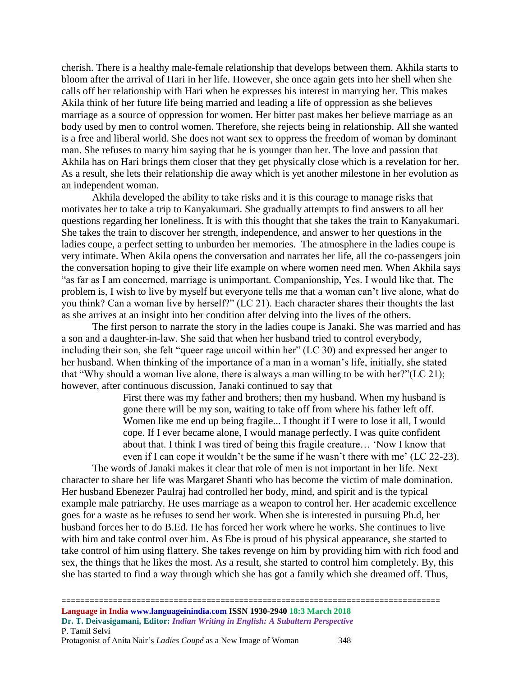cherish. There is a healthy male-female relationship that develops between them. Akhila starts to bloom after the arrival of Hari in her life. However, she once again gets into her shell when she calls off her relationship with Hari when he expresses his interest in marrying her. This makes Akila think of her future life being married and leading a life of oppression as she believes marriage as a source of oppression for women. Her bitter past makes her believe marriage as an body used by men to control women. Therefore, she rejects being in relationship. All she wanted is a free and liberal world. She does not want sex to oppress the freedom of woman by dominant man. She refuses to marry him saying that he is younger than her. The love and passion that Akhila has on Hari brings them closer that they get physically close which is a revelation for her. As a result, she lets their relationship die away which is yet another milestone in her evolution as an independent woman.

Akhila developed the ability to take risks and it is this courage to manage risks that motivates her to take a trip to Kanyakumari. She gradually attempts to find answers to all her questions regarding her loneliness. It is with this thought that she takes the train to Kanyakumari. She takes the train to discover her strength, independence, and answer to her questions in the ladies coupe, a perfect setting to unburden her memories. The atmosphere in the ladies coupe is very intimate. When Akila opens the conversation and narrates her life, all the co-passengers join the conversation hoping to give their life example on where women need men. When Akhila says "as far as I am concerned, marriage is unimportant. Companionship, Yes. I would like that. The problem is, I wish to live by myself but everyone tells me that a woman can't live alone, what do you think? Can a woman live by herself?" (LC 21). Each character shares their thoughts the last as she arrives at an insight into her condition after delving into the lives of the others.

The first person to narrate the story in the ladies coupe is Janaki. She was married and has a son and a daughter-in-law. She said that when her husband tried to control everybody, including their son, she felt "queer rage uncoil within her" (LC 30) and expressed her anger to her husband. When thinking of the importance of a man in a woman's life, initially, she stated that "Why should a woman live alone, there is always a man willing to be with her?"(LC 21); however, after continuous discussion, Janaki continued to say that

> First there was my father and brothers; then my husband. When my husband is gone there will be my son, waiting to take off from where his father left off. Women like me end up being fragile... I thought if I were to lose it all, I would cope. If I ever became alone, I would manage perfectly. I was quite confident about that. I think I was tired of being this fragile creature… 'Now I know that even if I can cope it wouldn't be the same if he wasn't there with me' (LC 22-23).

The words of Janaki makes it clear that role of men is not important in her life. Next character to share her life was Margaret Shanti who has become the victim of male domination. Her husband Ebenezer Paulraj had controlled her body, mind, and spirit and is the typical example male patriarchy. He uses marriage as a weapon to control her. Her academic excellence goes for a waste as he refuses to send her work. When she is interested in pursuing Ph.d, her husband forces her to do B.Ed. He has forced her work where he works. She continues to live with him and take control over him. As Ebe is proud of his physical appearance, she started to take control of him using flattery. She takes revenge on him by providing him with rich food and sex, the things that he likes the most. As a result, she started to control him completely. By, this she has started to find a way through which she has got a family which she dreamed off. Thus,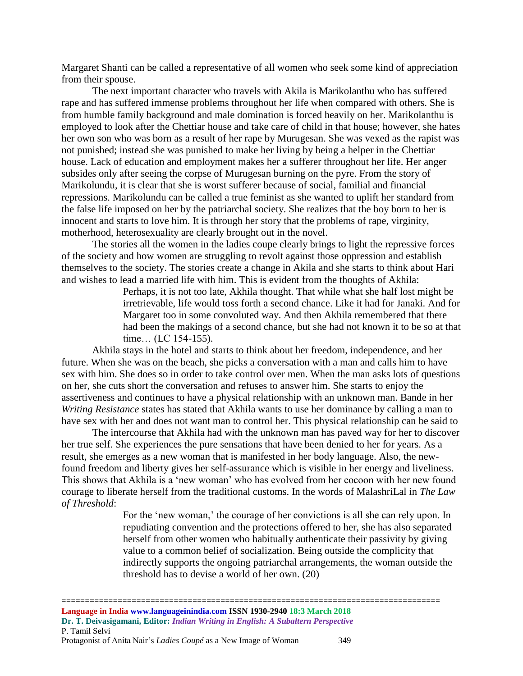Margaret Shanti can be called a representative of all women who seek some kind of appreciation from their spouse.

The next important character who travels with Akila is Marikolanthu who has suffered rape and has suffered immense problems throughout her life when compared with others. She is from humble family background and male domination is forced heavily on her. Marikolanthu is employed to look after the Chettiar house and take care of child in that house; however, she hates her own son who was born as a result of her rape by Murugesan. She was vexed as the rapist was not punished; instead she was punished to make her living by being a helper in the Chettiar house. Lack of education and employment makes her a sufferer throughout her life. Her anger subsides only after seeing the corpse of Murugesan burning on the pyre. From the story of Marikolundu, it is clear that she is worst sufferer because of social, familial and financial repressions. Marikolundu can be called a true feminist as she wanted to uplift her standard from the false life imposed on her by the patriarchal society. She realizes that the boy born to her is innocent and starts to love him. It is through her story that the problems of rape, virginity, motherhood, heterosexuality are clearly brought out in the novel.

The stories all the women in the ladies coupe clearly brings to light the repressive forces of the society and how women are struggling to revolt against those oppression and establish themselves to the society. The stories create a change in Akila and she starts to think about Hari and wishes to lead a married life with him. This is evident from the thoughts of Akhila:

Perhaps, it is not too late, Akhila thought. That while what she half lost might be irretrievable, life would toss forth a second chance. Like it had for Janaki. And for Margaret too in some convoluted way. And then Akhila remembered that there had been the makings of a second chance, but she had not known it to be so at that time… (LC 154-155).

Akhila stays in the hotel and starts to think about her freedom, independence, and her future. When she was on the beach, she picks a conversation with a man and calls him to have sex with him. She does so in order to take control over men. When the man asks lots of questions on her, she cuts short the conversation and refuses to answer him. She starts to enjoy the assertiveness and continues to have a physical relationship with an unknown man. Bande in her *Writing Resistance* states has stated that Akhila wants to use her dominance by calling a man to have sex with her and does not want man to control her. This physical relationship can be said to

The intercourse that Akhila had with the unknown man has paved way for her to discover her true self. She experiences the pure sensations that have been denied to her for years. As a result, she emerges as a new woman that is manifested in her body language. Also, the newfound freedom and liberty gives her self-assurance which is visible in her energy and liveliness. This shows that Akhila is a 'new woman' who has evolved from her cocoon with her new found courage to liberate herself from the traditional customs. In the words of MalashriLal in *The Law of Threshold*:

> For the 'new woman,' the courage of her convictions is all she can rely upon. In repudiating convention and the protections offered to her, she has also separated herself from other women who habitually authenticate their passivity by giving value to a common belief of socialization. Being outside the complicity that indirectly supports the ongoing patriarchal arrangements, the woman outside the threshold has to devise a world of her own. (20)